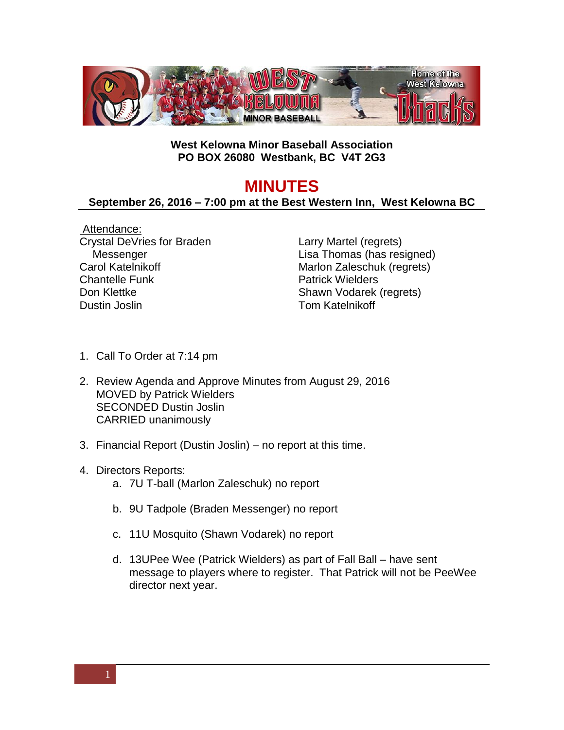

## **West Kelowna Minor Baseball Association PO BOX 26080 Westbank, BC V4T 2G3**

## **MINUTES**

## **September 26, 2016 – 7:00 pm at the Best Western Inn, West Kelowna BC**

Attendance: Crystal DeVries for Braden Messenger Carol Katelnikoff Chantelle Funk Don Klettke Dustin Joslin

Larry Martel (regrets) Lisa Thomas (has resigned) Marlon Zaleschuk (regrets) Patrick Wielders Shawn Vodarek (regrets) Tom Katelnikoff

- 1. Call To Order at 7:14 pm
- 2. Review Agenda and Approve Minutes from August 29, 2016 MOVED by Patrick Wielders SECONDED Dustin Joslin CARRIED unanimously
- 3. Financial Report (Dustin Joslin) no report at this time.
- 4. Directors Reports:
	- a. 7U T-ball (Marlon Zaleschuk) no report
	- b. 9U Tadpole (Braden Messenger) no report
	- c. 11U Mosquito (Shawn Vodarek) no report
	- d. 13UPee Wee (Patrick Wielders) as part of Fall Ball have sent message to players where to register. That Patrick will not be PeeWee director next year.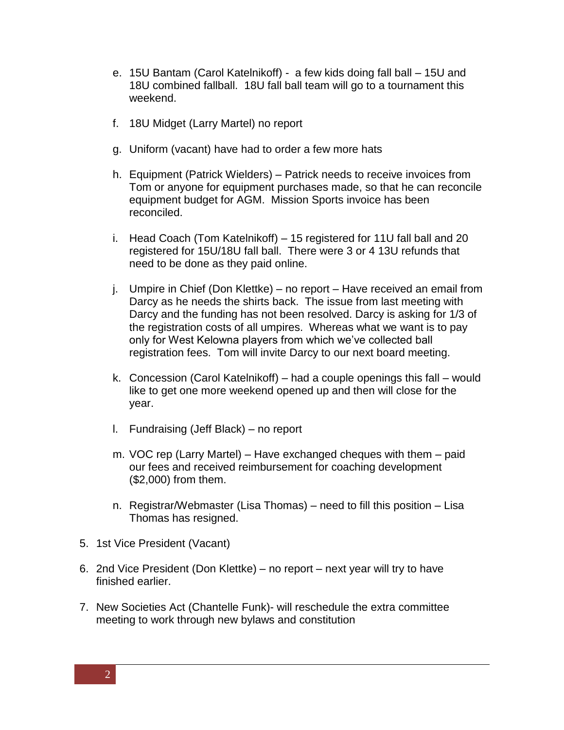- e. 15U Bantam (Carol Katelnikoff) a few kids doing fall ball 15U and 18U combined fallball. 18U fall ball team will go to a tournament this weekend.
- f. 18U Midget (Larry Martel) no report
- g. Uniform (vacant) have had to order a few more hats
- h. Equipment (Patrick Wielders) Patrick needs to receive invoices from Tom or anyone for equipment purchases made, so that he can reconcile equipment budget for AGM. Mission Sports invoice has been reconciled.
- i. Head Coach (Tom Katelnikoff) 15 registered for 11U fall ball and 20 registered for 15U/18U fall ball. There were 3 or 4 13U refunds that need to be done as they paid online.
- j. Umpire in Chief (Don Klettke) no report Have received an email from Darcy as he needs the shirts back. The issue from last meeting with Darcy and the funding has not been resolved. Darcy is asking for 1/3 of the registration costs of all umpires. Whereas what we want is to pay only for West Kelowna players from which we've collected ball registration fees. Tom will invite Darcy to our next board meeting.
- k. Concession (Carol Katelnikoff) had a couple openings this fall would like to get one more weekend opened up and then will close for the year.
- l. Fundraising (Jeff Black) no report
- m. VOC rep (Larry Martel) Have exchanged cheques with them paid our fees and received reimbursement for coaching development (\$2,000) from them.
- n. Registrar/Webmaster (Lisa Thomas) need to fill this position Lisa Thomas has resigned.
- 5. 1st Vice President (Vacant)
- 6. 2nd Vice President (Don Klettke) no report next year will try to have finished earlier.
- 7. New Societies Act (Chantelle Funk)- will reschedule the extra committee meeting to work through new bylaws and constitution